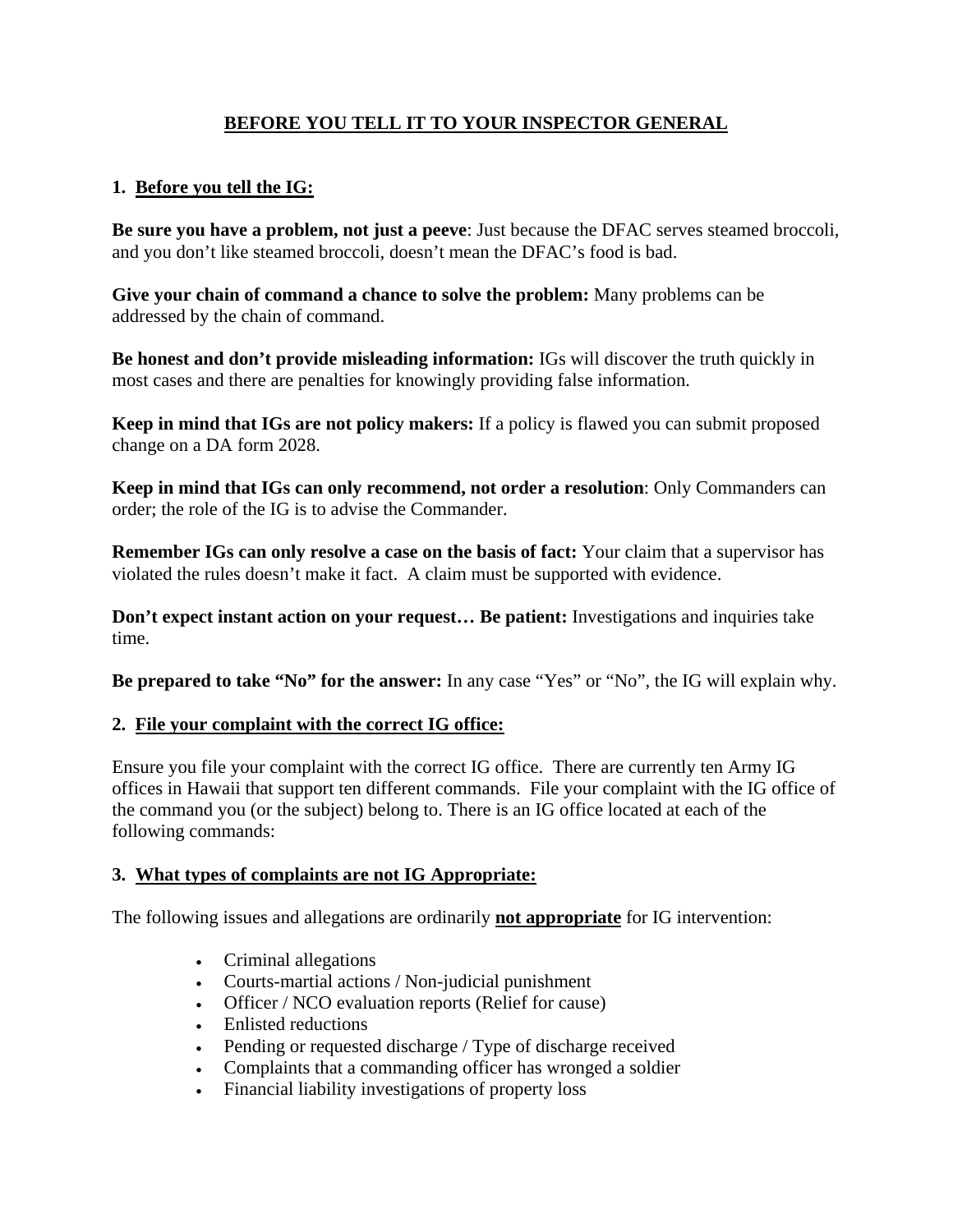# **BEFORE YOU TELL IT TO YOUR INSPECTOR GENERAL**

## **1. Before you tell the IG:**

**Be sure you have a problem, not just a peeve**: Just because the DFAC serves steamed broccoli, and you don't like steamed broccoli, doesn't mean the DFAC's food is bad.

**Give your chain of command a chance to solve the problem:** Many problems can be addressed by the chain of command.

**Be honest and don't provide misleading information:** IGs will discover the truth quickly in most cases and there are penalties for knowingly providing false information.

**Keep in mind that IGs are not policy makers:** If a policy is flawed you can submit proposed change on a DA form 2028.

**Keep in mind that IGs can only recommend, not order a resolution**: Only Commanders can order; the role of the IG is to advise the Commander.

**Remember IGs can only resolve a case on the basis of fact:** Your claim that a supervisor has violated the rules doesn't make it fact. A claim must be supported with evidence.

**Don't expect instant action on your request… Be patient:** Investigations and inquiries take time.

**Be prepared to take "No" for the answer:** In any case "Yes" or "No", the IG will explain why.

## **2. File your complaint with the correct IG office:**

Ensure you file your complaint with the correct IG office. There are currently ten Army IG offices in Hawaii that support ten different commands. File your complaint with the IG office of the command you (or the subject) belong to. There is an IG office located at each of the following commands:

### **3. What types of complaints are not IG Appropriate:**

The following issues and allegations are ordinarily **not appropriate** for IG intervention:

- Criminal allegations
- Courts-martial actions / Non-judicial punishment
- Officer / NCO evaluation reports (Relief for cause)
- Enlisted reductions
- Pending or requested discharge / Type of discharge received
- Complaints that a commanding officer has wronged a soldier
- Financial liability investigations of property loss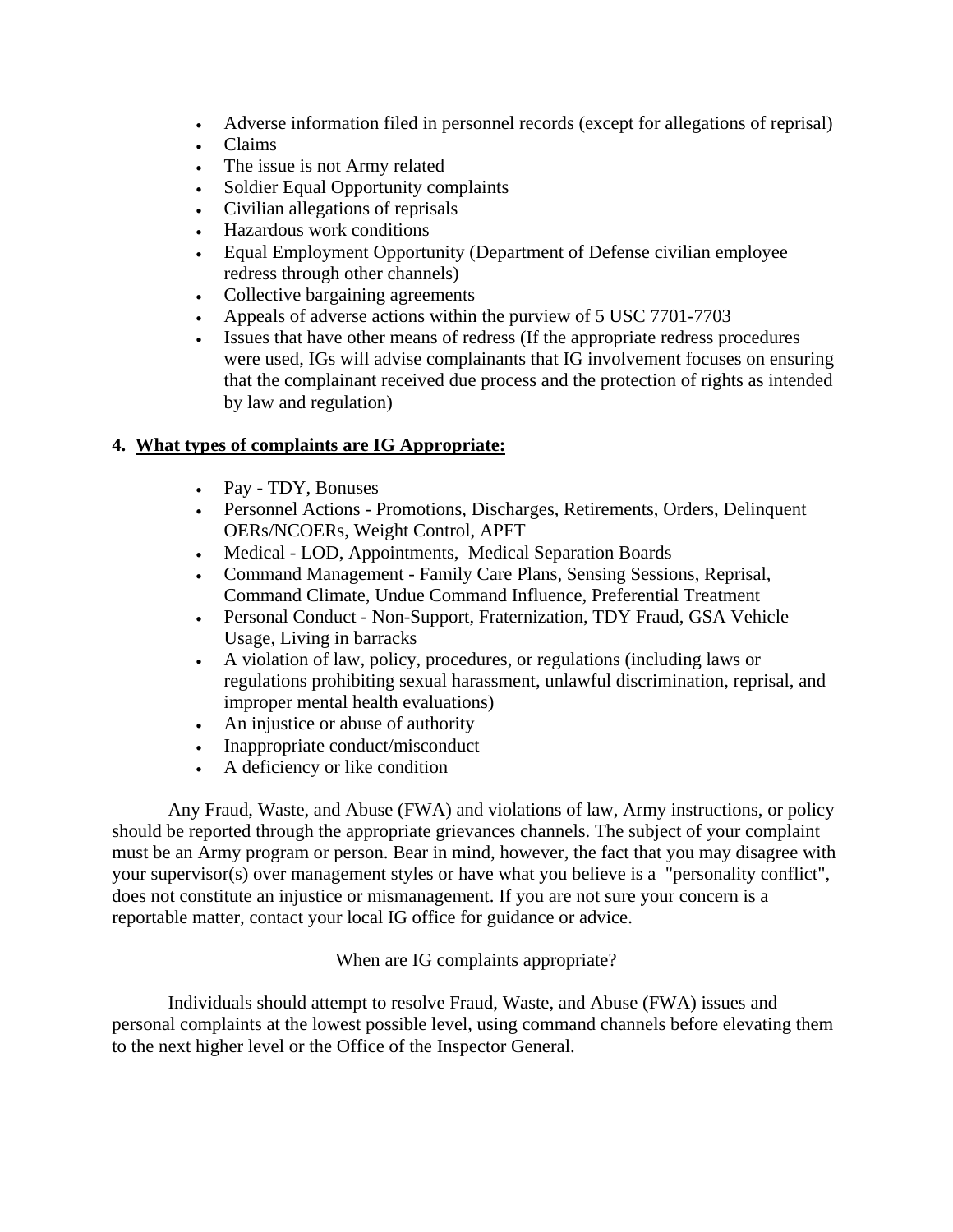- Adverse information filed in personnel records (except for allegations of reprisal)
- Claims
- The issue is not Army related
- Soldier Equal Opportunity complaints
- Civilian allegations of reprisals
- Hazardous work conditions
- Equal Employment Opportunity (Department of Defense civilian employee redress through other channels)
- Collective bargaining agreements
- Appeals of adverse actions within the purview of 5 USC 7701-7703
- Issues that have other means of redress (If the appropriate redress procedures were used, IGs will advise complainants that IG involvement focuses on ensuring that the complainant received due process and the protection of rights as intended by law and regulation)

### **4. What types of complaints are IG Appropriate:**

- Pay TDY, Bonuses
- Personnel Actions Promotions, Discharges, Retirements, Orders, Delinquent OERs/NCOERs, Weight Control, APFT
- Medical LOD, Appointments, Medical Separation Boards
- Command Management Family Care Plans, Sensing Sessions, Reprisal, Command Climate, Undue Command Influence, Preferential Treatment
- Personal Conduct Non-Support, Fraternization, TDY Fraud, GSA Vehicle Usage, Living in barracks
- A violation of law, policy, procedures, or regulations (including laws or regulations prohibiting sexual harassment, unlawful discrimination, reprisal, and improper mental health evaluations)
- An injustice or abuse of authority
- Inappropriate conduct/misconduct
- A deficiency or like condition

Any Fraud, Waste, and Abuse (FWA) and violations of law, Army instructions, or policy should be reported through the appropriate grievances channels. The subject of your complaint must be an Army program or person. Bear in mind, however, the fact that you may disagree with your supervisor(s) over management styles or have what you believe is a "personality conflict", does not constitute an injustice or mismanagement. If you are not sure your concern is a reportable matter, contact your local IG office for guidance or advice.

When are IG complaints appropriate?

Individuals should attempt to resolve Fraud, Waste, and Abuse (FWA) issues and personal complaints at the lowest possible level, using command channels before elevating them to the next higher level or the Office of the Inspector General.